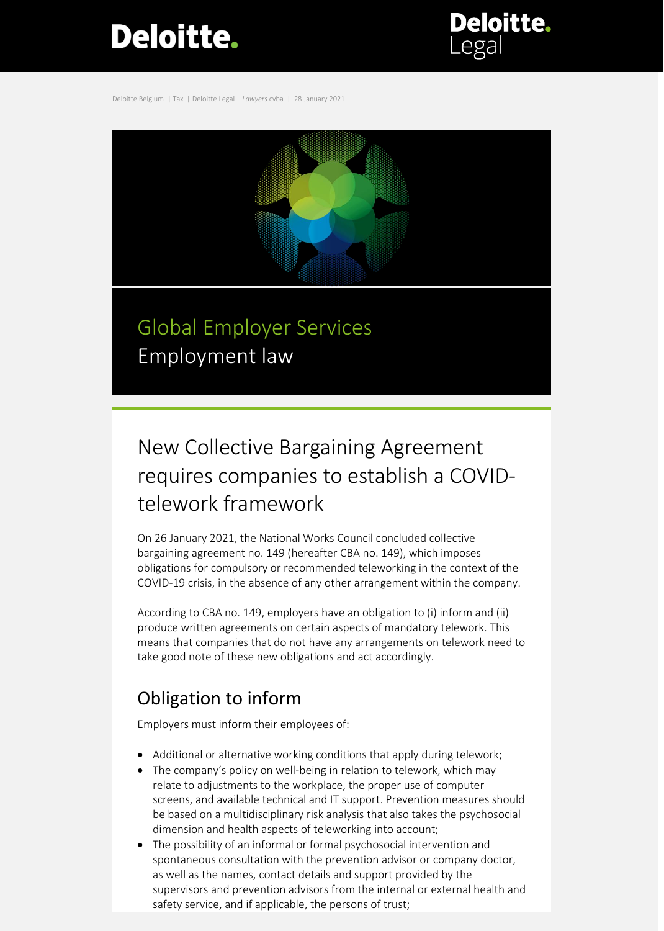# **Deloitte.**

**Deloitte.** 

Deloitte Belgium | Tax | Deloitte Legal – *Lawyers* cvba | 28 January 2021



## New Collective Bargaining Agreement requires companies to establish a COVIDtelework framework

On 26 January 2021, the National Works Council concluded collective bargaining agreement no. 149 (hereafter CBA no. 149), which imposes obligations for compulsory or recommended teleworking in the context of the COVID-19 crisis, in the absence of any other arrangement within the company.

According to CBA no. 149, employers have an obligation to (i) inform and (ii) produce written agreements on certain aspects of mandatory telework. This means that companies that do not have any arrangements on telework need to take good note of these new obligations and act accordingly.

### Obligation to inform

Employers must inform their employees of:

- Additional or alternative working conditions that apply during telework;
- The company's policy on well-being in relation to telework, which may relate to adjustments to the workplace, the proper use of computer screens, and available technical and IT support. Prevention measures should be based on a multidisciplinary risk analysis that also takes the psychosocial dimension and health aspects of teleworking into account;
- The possibility of an informal or formal psychosocial intervention and spontaneous consultation with the prevention advisor or company doctor, as well as the names, contact details and support provided by the supervisors and prevention advisors from the internal or external health and safety service, and if applicable, the persons of trust;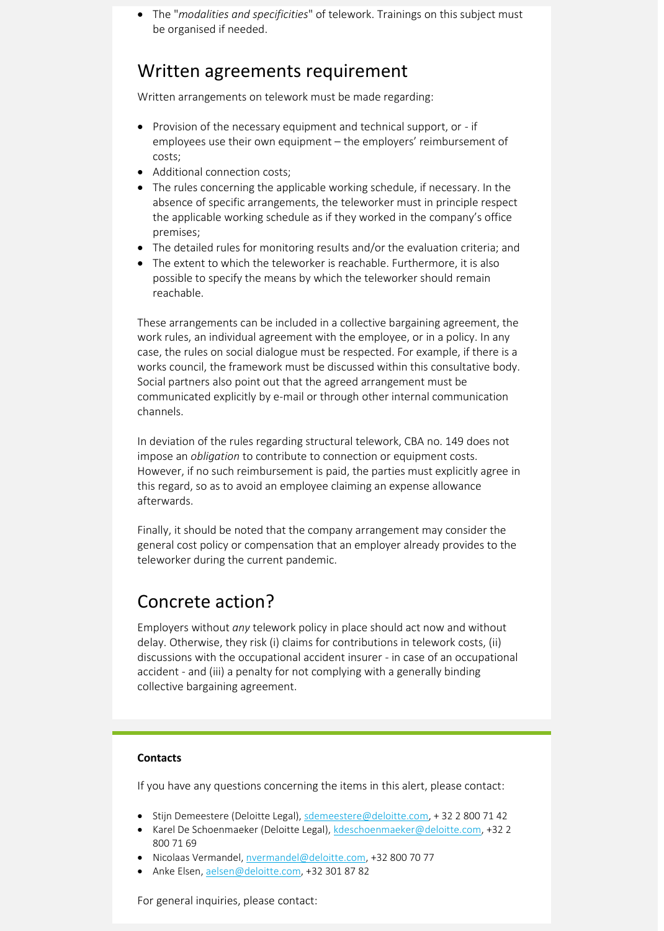• The "*modalities and specificities*" of telework. Trainings on this subject must be organised if needed.

### Written agreements requirement

Written arrangements on telework must be made regarding:

- Provision of the necessary equipment and technical support, or if employees use their own equipment – the employers' reimbursement of costs;
- Additional connection costs;
- The rules concerning the applicable working schedule, if necessary. In the absence of specific arrangements, the teleworker must in principle respect the applicable working schedule as if they worked in the company's office premises;
- The detailed rules for monitoring results and/or the evaluation criteria; and
- The extent to which the teleworker is reachable. Furthermore, it is also possible to specify the means by which the teleworker should remain reachable.

These arrangements can be included in a collective bargaining agreement, the work rules, an individual agreement with the employee, or in a policy. In any case, the rules on social dialogue must be respected. For example, if there is a works council, the framework must be discussed within this consultative body. Social partners also point out that the agreed arrangement must be communicated explicitly by e-mail or through other internal communication channels.

In deviation of the rules regarding structural telework, CBA no. 149 does not impose an *obligation* to contribute to connection or equipment costs. However, if no such reimbursement is paid, the parties must explicitly agree in this regard, so as to avoid an employee claiming an expense allowance afterwards.

Finally, it should be noted that the company arrangement may consider the general cost policy or compensation that an employer already provides to the teleworker during the current pandemic.

### Concrete action?

Employers without *any* telework policy in place should act now and without delay. Otherwise, they risk (i) claims for contributions in telework costs, (ii) discussions with the occupational accident insurer - in case of an occupational accident - and (iii) a penalty for not complying with a generally binding collective bargaining agreement.

#### **Contacts**

If you have any questions concerning the items in this alert, please contact:

- Stijn Demeestere (Deloitte Legal), [sdemeestere@deloitte.com,](mailto:sdemeestere@deloitte.com) + 32 2 800 71 42
- Karel De Schoenmaeker (Deloitte Legal), [kdeschoenmaeker@deloitte.com,](mailto:kdeschoenmaeker@deloitte.com) +32 2 800 71 69
- Nicolaas Vermandel[, nvermandel@deloitte.com,](mailto:nvermandel@deloitte.com) +32 800 70 77
- Anke Elsen[, aelsen@deloitte.com,](mailto:aelsen@deloitte.com) +32 301 87 82

For general inquiries, please contact: